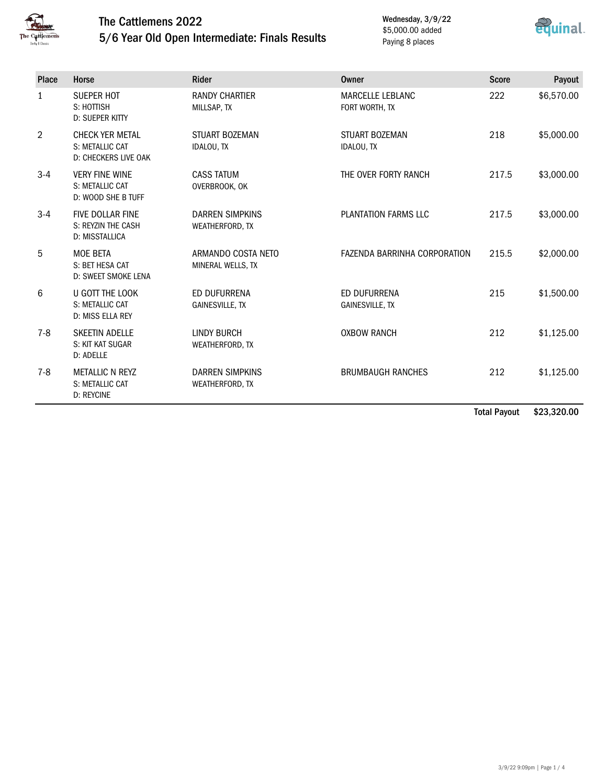

## The Cattlemens 2022 5/6 Year Old Open Intermediate: Finals Results

Wednesday, 3/9/22 \$5,000.00 added Paying 8 places



| Place          | Horse                                                             | <b>Rider</b>                              | Owner                                     | <b>Score</b> | Payout     |
|----------------|-------------------------------------------------------------------|-------------------------------------------|-------------------------------------------|--------------|------------|
| $\mathbf{1}$   | <b>SUEPER HOT</b><br>S: HOTTISH<br><b>D: SUEPER KITTY</b>         | <b>RANDY CHARTIER</b><br>MILLSAP, TX      | <b>MARCELLE LEBLANC</b><br>FORT WORTH, TX | 222          | \$6,570.00 |
| $\overline{2}$ | <b>CHECK YER METAL</b><br>S: METALLIC CAT<br>D: CHECKERS LIVE OAK | <b>STUART BOZEMAN</b><br>IDALOU, TX       | STUART BOZEMAN<br>IDALOU, TX              | 218          | \$5,000.00 |
| $3 - 4$        | <b>VERY FINE WINE</b><br>S: METALLIC CAT<br>D: WOOD SHE B TUFF    | <b>CASS TATUM</b><br>OVERBROOK, OK        | THE OVER FORTY RANCH                      | 217.5        | \$3,000.00 |
| $3-4$          | <b>FIVE DOLLAR FINE</b><br>S: REYZIN THE CASH<br>D: MISSTALLICA   | <b>DARREN SIMPKINS</b><br>WEATHERFORD, TX | PLANTATION FARMS LLC                      | 217.5        | \$3,000.00 |
| 5              | MOE BETA<br>S: BET HESA CAT<br>D: SWEET SMOKE LENA                | ARMANDO COSTA NETO<br>MINERAL WELLS, TX   | FAZENDA BARRINHA CORPORATION              | 215.5        | \$2,000.00 |
| 6              | U GOTT THE LOOK<br>S: METALLIC CAT<br>D: MISS ELLA REY            | ED DUFURRENA<br><b>GAINESVILLE, TX</b>    | ED DUFURRENA<br><b>GAINESVILLE, TX</b>    | 215          | \$1,500.00 |
| $7 - 8$        | <b>SKEETIN ADELLE</b><br>S: KIT KAT SUGAR<br>D: ADELLE            | <b>LINDY BURCH</b><br>WEATHERFORD, TX     | <b>OXBOW RANCH</b>                        | 212          | \$1,125.00 |
| $7 - 8$        | <b>METALLIC N REYZ</b><br>S: METALLIC CAT<br><b>D: REYCINE</b>    | <b>DARREN SIMPKINS</b><br>WEATHERFORD, TX | <b>BRUMBAUGH RANCHES</b>                  | 212          | \$1,125.00 |

Total Payout \$23,320.00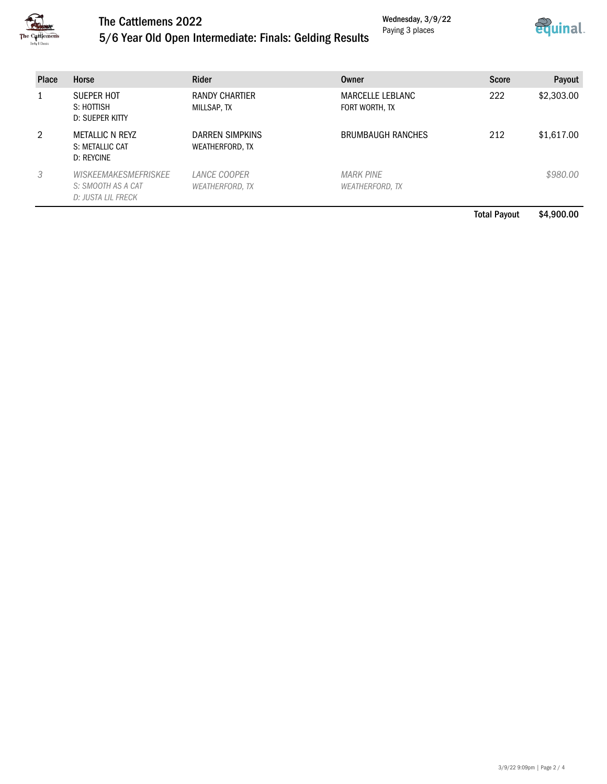

# The Cattlemens 2022

Wednesday, 3/9/22 Paying 3 places



### 5/6 Year Old Open Intermediate: Finals: Gelding Results

| <b>Place</b> | Horse                                                                   | <b>Rider</b>                       | Owner                               | <b>Score</b> | Payout     |
|--------------|-------------------------------------------------------------------------|------------------------------------|-------------------------------------|--------------|------------|
|              | SUEPER HOT<br>S: HOTTISH<br><b>D: SUEPER KITTY</b>                      | RANDY CHARTIER<br>MILLSAP, TX      | MARCELLE LEBLANC<br>FORT WORTH, TX  | 222          | \$2,303.00 |
| 2            | <b>METALLIC N REYZ</b><br>S: METALLIC CAT<br>D: REYCINE                 | DARREN SIMPKINS<br>WEATHERFORD, TX | <b>BRUMBAUGH RANCHES</b>            | 212          | \$1,617.00 |
| 3            | <b>WISKEEMAKESMEFRISKEE</b><br>S: SMOOTH AS A CAT<br>D: JUSTA LIL FRECK | LANCE COOPER<br>WEATHERFORD, TX    | <b>MARK PINE</b><br>WEATHERFORD, TX |              | \$980.00   |

Total Payout \$4,900.00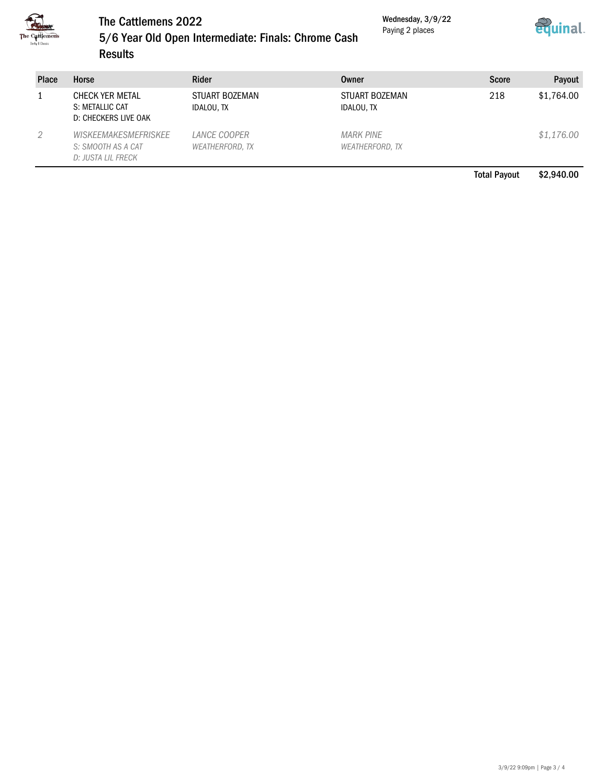

#### The Cattlemens 2022

Wednesday, 3/9/22 Paying 2 places



#### 5/6 Year Old Open Intermediate: Finals: Chrome Cash Results

| <b>Place</b> | Horse                                                                   | Rider                                  | Owner                                      | <b>Score</b> | Payout     |
|--------------|-------------------------------------------------------------------------|----------------------------------------|--------------------------------------------|--------------|------------|
|              | CHECK YER METAL<br>S: METALLIC CAT<br>D: CHECKERS LIVE OAK              | STUART BOZEMAN<br>IDALOU, TX           | STUART BOZEMAN<br>IDALOU, TX               | 218          | \$1,764.00 |
| 2            | <b>WISKEEMAKESMEFRISKEE</b><br>S: SMOOTH AS A CAT<br>D: JUSTA LIL FRECK | LANCE COOPER<br><b>WEATHERFORD, TX</b> | <b>MARK PINE</b><br><b>WEATHERFORD, TX</b> |              | \$1,176.00 |

Total Payout \$2,940.00